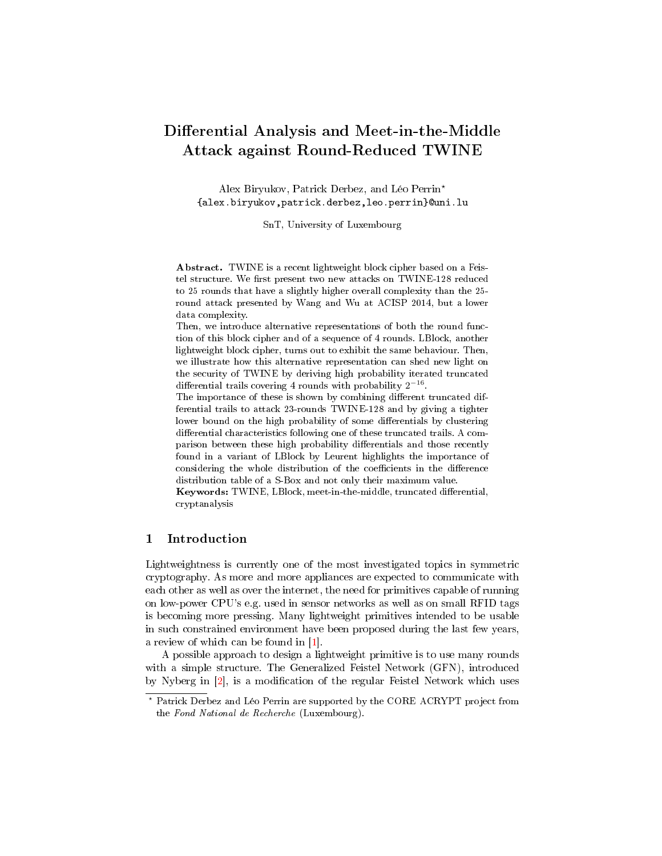# Differential Analysis and Meet-in-the-Middle Attack against Round-Reduced TWINE

Alex Biryukov, Patrick Derbez, and Léo Perrin? {alex.biryukov,patrick.derbez,leo.perrin}@uni.lu

SnT, University of Luxembourg

Abstract. TWINE is a recent lightweight block cipher based on a Feistel structure. We first present two new attacks on TWINE-128 reduced to 25 rounds that have a slightly higher overall complexity than the 25 round attack presented by Wang and Wu at ACISP 2014, but a lower data complexity.

Then, we introduce alternative representations of both the round function of this block cipher and of a sequence of 4 rounds. LBlock, another lightweight block cipher, turns out to exhibit the same behaviour. Then, we illustrate how this alternative representation can shed new light on the security of TWINE by deriving high probability iterated truncated differential trails covering 4 rounds with probability  $2^{-16}$ .

The importance of these is shown by combining different truncated differential trails to attack 23-rounds TWINE-128 and by giving a tighter lower bound on the high probability of some differentials by clustering differential characteristics following one of these truncated trails. A comparison between these high probability differentials and those recently found in a variant of LBlock by Leurent highlights the importance of considering the whole distribution of the coefficients in the difference distribution table of a S-Box and not only their maximum value.

Keywords: TWINE, LBlock, meet-in-the-middle, truncated differential, cryptanalysis

### 1 Introduction

Lightweightness is currently one of the most investigated topics in symmetric cryptography. As more and more appliances are expected to communicate with each other as well as over the internet, the need for primitives capable of running on low-power CPU's e.g. used in sensor networks as well as on small RFID tags is becoming more pressing. Many lightweight primitives intended to be usable in such constrained environment have been proposed during the last few years, a review of which can be found in [\[1\]](#page-21-0).

A possible approach to design a lightweight primitive is to use many rounds with a simple structure. The Generalized Feistel Network (GFN), introduced by Nyberg in  $[2]$ , is a modification of the regular Feistel Network which uses

<sup>?</sup> Patrick Derbez and Léo Perrin are supported by the CORE ACRYPT project from the Fond National de Recherche (Luxembourg).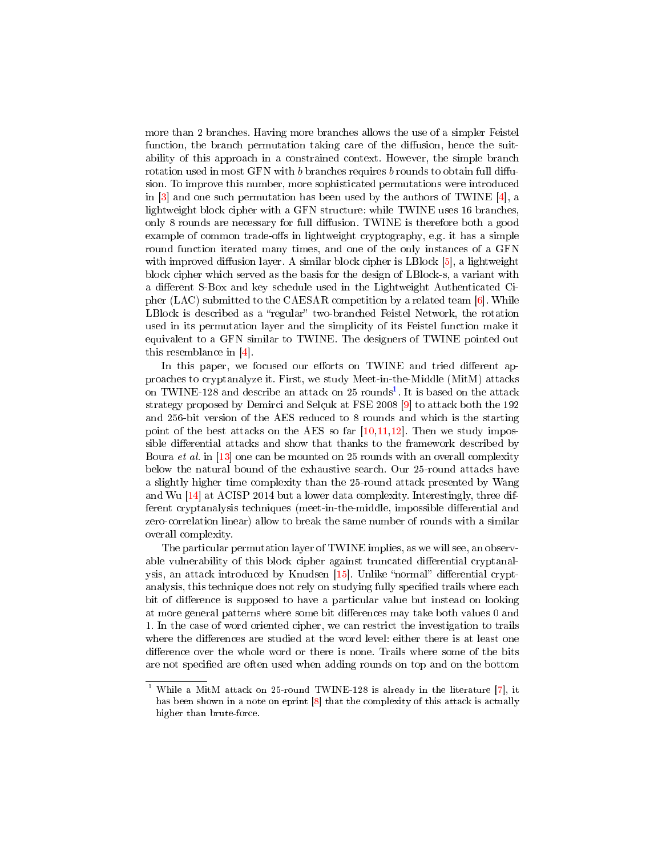more than 2 branches. Having more branches allows the use of a simpler Feistel function, the branch permutation taking care of the diffusion, hence the suitability of this approach in a constrained context. However, the simple branch rotation used in most GFN with  $b$  branches requires  $b$  rounds to obtain full diffusion. To improve this number, more sophisticated permutations were introduced in  $[3]$  and one such permutation has been used by the authors of TWINE  $[4]$ , a lightweight block cipher with a GFN structure: while TWINE uses 16 branches, only 8 rounds are necessary for full diffusion. TWINE is therefore both a good example of common trade-offs in lightweight cryptography, e.g. it has a simple round function iterated many times, and one of the only instances of a GFN with improved diffusion layer. A similar block cipher is LBlock  $[5]$ , a lightweight block cipher which served as the basis for the design of LBlock-s, a variant with a different S-Box and key schedule used in the Lightweight Authenticated Cipher (LAC) submitted to the CAESAR competition by a related team [\[6\]](#page-22-1). While LBlock is described as a "regular" two-branched Feistel Network, the rotation used in its permutation layer and the simplicity of its Feistel function make it equivalent to a GFN similar to TWINE. The designers of TWINE pointed out this resemblance in [\[4\]](#page-21-3).

In this paper, we focused our efforts on TWINE and tried different approaches to cryptanalyze it. First, we study Meet-in-the-Middle (MitM) attacks on TWINE-[1](#page-1-0)28 and describe an attack on  $25$  rounds<sup>1</sup>. It is based on the attack strategy proposed by Demirci and Selçuk at FSE 2008 [\[9\]](#page-22-2) to attack both the 192 and 256-bit version of the AES reduced to 8 rounds and which is the starting point of the best attacks on the AES so far  $[10,11,12]$  $[10,11,12]$  $[10,11,12]$ . Then we study impossible differential attacks and show that thanks to the framework described by Boura et al. in [\[13\]](#page-22-6) one can be mounted on 25 rounds with an overall complexity below the natural bound of the exhaustive search. Our 25-round attacks have a slightly higher time complexity than the 25-round attack presented by Wang and Wu [\[14\]](#page-22-7) at ACISP 2014 but a lower data complexity. Interestingly, three different cryptanalysis techniques (meet-in-the-middle, impossible differential and zero-correlation linear) allow to break the same number of rounds with a similar overall complexity.

The particular permutation layer of TWINE implies, as we will see, an observable vulnerability of this block cipher against truncated differential cryptanalysis, an attack introduced by Knudsen  $[15]$ . Unlike "normal" differential cryptanalysis, this technique does not rely on studying fully specified trails where each bit of difference is supposed to have a particular value but instead on looking at more general patterns where some bit differences may take both values 0 and 1. In the case of word oriented cipher, we can restrict the investigation to trails where the differences are studied at the word level: either there is at least one difference over the whole word or there is none. Trails where some of the bits are not specified are often used when adding rounds on top and on the bottom

<span id="page-1-0"></span><sup>&</sup>lt;sup>1</sup> While a MitM attack on 25-round TWINE-128 is already in the literature  $[7]$ , it has been shown in a note on eprint [\[8\]](#page-22-10) that the complexity of this attack is actually higher than brute-force.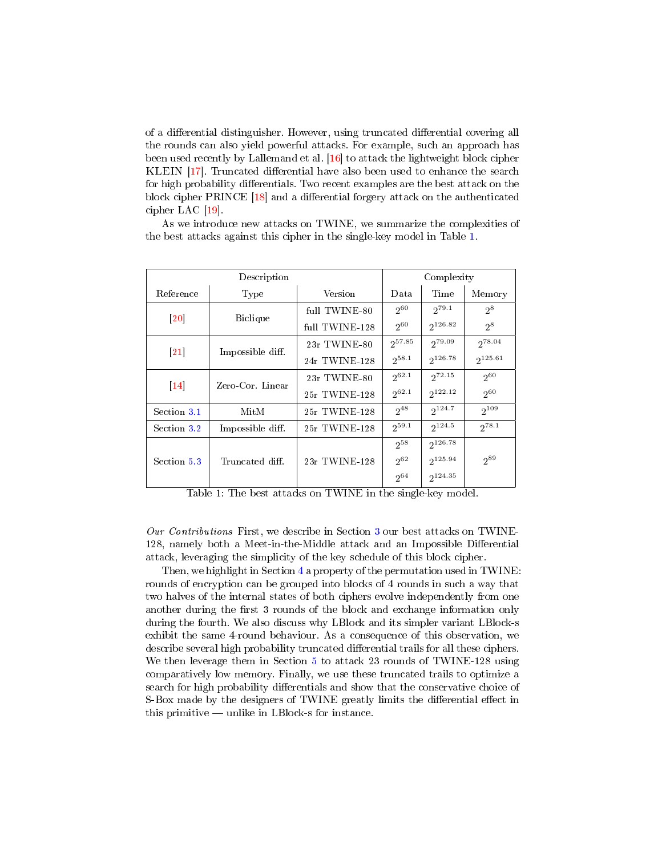of a differential distinguisher. However, using truncated differential covering all the rounds can also yield powerful attacks. For example, such an approach has been used recently by Lallemand et al. [\[16\]](#page-22-11) to attack the lightweight block cipher KLEIN [\[17\]](#page-22-12). Truncated differential have also been used to enhance the search for high probability differentials. Two recent examples are the best attack on the block cipher PRINCE  $[18]$  and a differential forgery attack on the authenticated cipher LAC [\[19\]](#page-22-14).

As we introduce new attacks on TWINE, we summarize the complexities of the best attacks against this cipher in the single-key model in Table [1.](#page-2-0)

<span id="page-2-0"></span>

| Description                  |                  |                | Complexity  |              |              |
|------------------------------|------------------|----------------|-------------|--------------|--------------|
| Reference                    | Type             | Version        | Data        | Time         | Memory       |
| $\left\lceil 20\right\rceil$ | <b>Biclique</b>  | full TWINE-80  | 260         | $2^{79.1}$   | $2^8$        |
|                              |                  | full TWINE-128 | $2^{60}$    | $2^{126.82}$ | $2^8$        |
| $ 21\rangle$                 | Impossible diff. | 23r TWINE-80   | $2^{57.85}$ | 279.09       | $2^{78.04}$  |
|                              |                  | 24r TWINE-128  | $2^{58.1}$  | $2^{126.78}$ | $2^{125.61}$ |
| $\vert$ 14                   | Zero-Cor. Linear | 23r TWINE-80   | $2^{62.1}$  | $2^{72.15}$  | $2^{60}$     |
|                              |                  | 25r TWINE-128  | $2^{62.1}$  | $2^{122.12}$ | $2^{60}$     |
| Section 3.1                  | MitM             | 25r TWINE-128  | $2^{48}$    | $2^{124.7}$  | $2^{109}$    |
| Section 3.2                  | Impossible diff. | 25r TWINE-128  | $2^{59.1}$  | $2^{124.5}$  | $2^{78.1}$   |
| Section 5.3                  | Truncated diff.  |                | $2^{58}$    | 2126.78      |              |
|                              |                  | 23r TWINE 128  | $2^{62}$    | $2^{125.94}$ | $2^{89}$     |
|                              |                  |                | $2^{64}$    | $2^{124.35}$ |              |

Table 1: The best attacks on TWINE in the single-key model.

Our Contributions First, we describe in Section [3](#page-5-1) our best attacks on TWINE-128, namely both a Meet-in-the-Middle attack and an Impossible Differential attack, leveraging the simplicity of the key schedule of this block cipher.

Then, we highlight in Section [4](#page-10-0) a property of the permutation used in TWINE: rounds of encryption can be grouped into blocks of 4 rounds in such a way that two halves of the internal states of both ciphers evolve independently from one another during the first 3 rounds of the block and exchange information only during the fourth. We also discuss why LBlock and its simpler variant LBlock-s exhibit the same 4-round behaviour. As a consequence of this observation, we describe several high probability truncated differential trails for all these ciphers. We then leverage them in Section [5](#page-12-0) to attack 23 rounds of TWINE-128 using comparatively low memory. Finally, we use these truncated trails to optimize a search for high probability differentials and show that the conservative choice of S-Box made by the designers of TWINE greatly limits the differential effect in this primitive  $-$  unlike in LBlock-s for instance.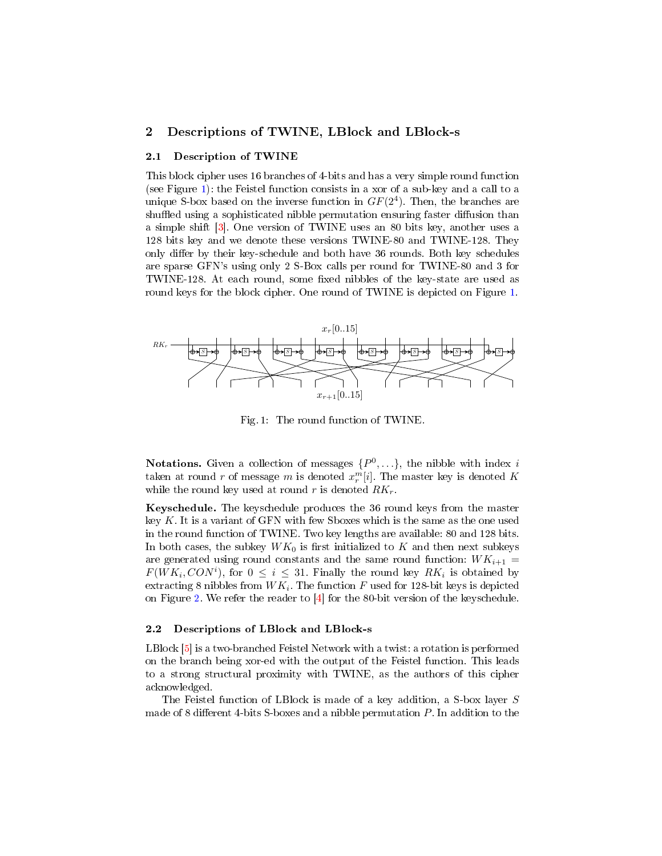### 2 Descriptions of TWINE, LBlock and LBlock-s

#### 2.1 Description of TWINE

This block cipher uses 16 branches of 4-bits and has a very simple round function (see Figure [1\)](#page-3-0): the Feistel function consists in a xor of a sub-key and a call to a unique S-box based on the inverse function in  $GF(2<sup>4</sup>)$ . Then, the branches are shuffled using a sophisticated nibble permutation ensuring faster diffusion than a simple shift [\[3\]](#page-21-2). One version of TWINE uses an 80 bits key, another uses a 128 bits key and we denote these versions TWINE-80 and TWINE-128. They only differ by their key-schedule and both have 36 rounds. Both key schedules are sparse GFN's using only 2 S-Box calls per round for TWINE-80 and 3 for TWINE-128. At each round, some fixed nibbles of the key-state are used as round keys for the block cipher. One round of TWINE is depicted on Figure [1.](#page-3-0)

<span id="page-3-0"></span>

Fig. 1: The round function of TWINE.

**Notations.** Given a collection of messages  $\{P^0, \ldots\}$ , the nibble with index i taken at round  $r$  of message  $m$  is denoted  $x_r^m[i]$ . The master key is denoted  $K$ while the round key used at round r is denoted  $RK_r$ .

Keyschedule. The keyschedule produces the 36 round keys from the master key K. It is a variant of GFN with few Sboxes which is the same as the one used in the round function of TWINE. Two key lengths are available: 80 and 128 bits. In both cases, the subkey  $WK_0$  is first initialized to K and then next subkeys are generated using round constants and the same round function:  $WK_{i+1}$  $F(WK_i, CON^i)$ , for  $0 \leq i \leq 31$ . Finally the round key  $RK_i$  is obtained by extracting 8 nibbles from  $WK_i$ . The function  $F$  used for 128-bit keys is depicted on Figure [2.](#page-4-0) We refer the reader to [\[4\]](#page-21-3) for the 80-bit version of the keyschedule.

#### 2.2 Descriptions of LBlock and LBlock-s

LBlock [\[5\]](#page-22-0) is a two-branched Feistel Network with a twist: a rotation is performed on the branch being xor-ed with the output of the Feistel function. This leads to a strong structural proximity with TWINE, as the authors of this cipher acknowledged.

The Feistel function of LBlock is made of a key addition, a S-box layer S made of 8 different 4-bits S-boxes and a nibble permutation  $P$ . In addition to the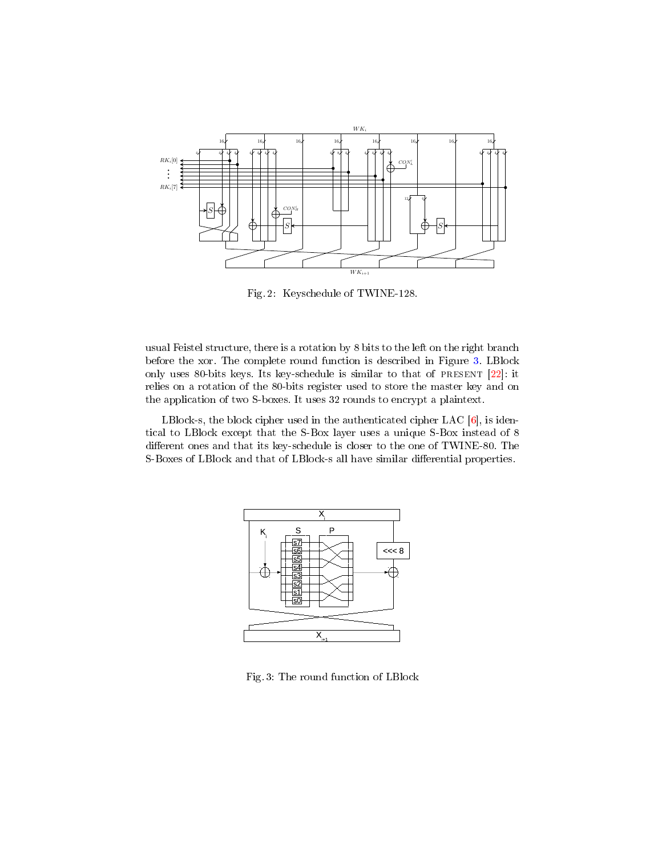<span id="page-4-0"></span>

Fig. 2: Keyschedule of TWINE-128.

usual Feistel structure, there is a rotation by 8 bits to the left on the right branch before the xor. The complete round function is described in Figure [3.](#page-4-1) LBlock only uses 80-bits keys. Its key-schedule is similar to that of present [\[22\]](#page-22-17): it relies on a rotation of the 80-bits register used to store the master key and on the application of two S-boxes. It uses 32 rounds to encrypt a plaintext.

<span id="page-4-1"></span>LBlock-s, the block cipher used in the authenticated cipher LAC [\[6\]](#page-22-1), is identical to LBlock except that the S-Box layer uses a unique S-Box instead of 8 different ones and that its key-schedule is closer to the one of TWINE-80. The S-Boxes of LBlock and that of LBlock-s all have similar differential properties.



Fig. 3: The round function of LBlock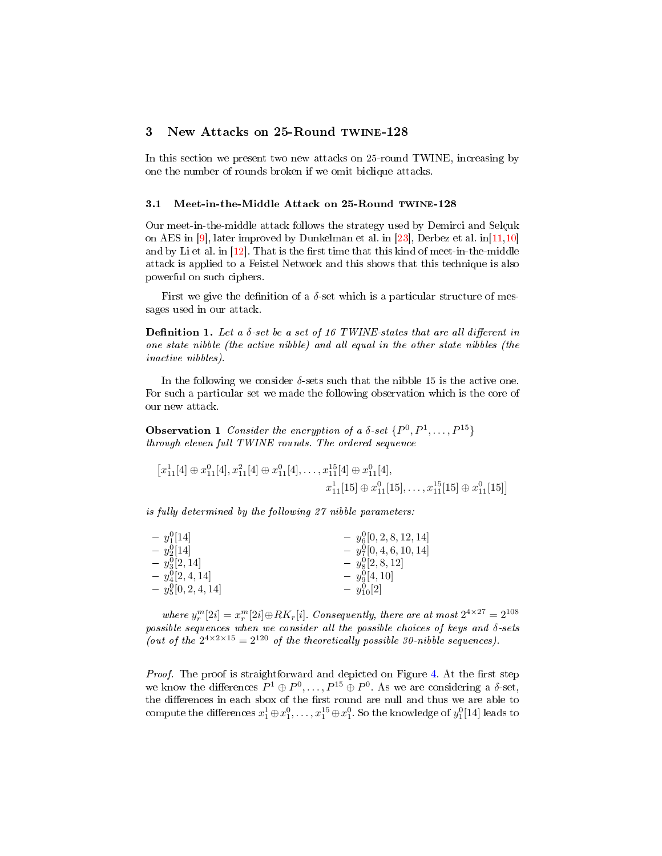# <span id="page-5-1"></span>3 New Attacks on 25-Round twine-128

In this section we present two new attacks on 25-round TWINE, increasing by one the number of rounds broken if we omit biclique attacks.

#### <span id="page-5-0"></span>3.1 Meet-in-the-Middle Attack on 25-Round TWINE-128

Our meet-in-the-middle attack follows the strategy used by Demirci and Selçuk on AES in [\[9\]](#page-22-2), later improved by Dunkelman et al. in [\[23\]](#page-23-0), Derbez et al. in [\[11,](#page-22-4)[10\]](#page-22-3) and by Li et al. in  $[12]$ . That is the first time that this kind of meet-in-the-middle attack is applied to a Feistel Network and this shows that this technique is also powerful on such ciphers.

First we give the definition of a  $\delta$ -set which is a particular structure of messages used in our attack.

**Definition 1.** Let a  $\delta$ -set be a set of 16 TWINE-states that are all different in one state nibble (the active nibble) and all equal in the other state nibbles (the inactive nibbles).

In the following we consider  $\delta$ -sets such that the nibble 15 is the active one. For such a particular set we made the following observation which is the core of our new attack.

<span id="page-5-2"></span>**Observation 1** Consider the encryption of a  $\delta$ -set  $\{P^0, P^1, \ldots, P^{15}\}$ through eleven full TWINE rounds. The ordered sequence

$$
[x_{11}^1[4] \oplus x_{11}^0[4], x_{11}^2[4] \oplus x_{11}^0[4], \dots, x_{11}^{15}[4] \oplus x_{11}^0[4],
$$
  

$$
x_{11}^1[15] \oplus x_{11}^0[15], \dots, x_{11}^{15}[15] \oplus x_{11}^0[15]]
$$

is fully determined by the following 27 nibble parameters:

| $- y_1^0[14]$          | $- y_6^0[0, 2, 8, 12, 14]$ |
|------------------------|----------------------------|
| $- y_2^0[14]$          | $- y_7^0[0,4,6,10,14]$     |
| $- y_3^0[2, 14]$       | $- y_8^0[2,8,12]$          |
| $- y_4^0[2,4,14]$      | $- y_9^0[4, 10]$           |
| $- y_5^0[0, 2, 4, 14]$ | $- y_{10}^0[2]$            |

where  $y_r^m[2i] = x_r^m[2i] \oplus RK_r[i]$ . Consequently, there are at most  $2^{4 \times 27} = 2^{108}$ possible sequences when we consider all the possible choices of keys and δ-sets (out of the  $2^{4 \times 2 \times 15} = 2^{120}$  of the theoretically possible 30-nibble sequences).

Proof. The proof is straightforward and depicted on Figure [4.](#page-6-0) At the first step we know the differences  $P^1 \oplus P^0, \ldots, P^{15} \oplus P^0$ . As we are considering a  $\delta$ -set, the differences in each sbox of the first round are null and thus we are able to compute the differences  $x_1^1 \oplus x_1^0, \ldots, x_1^{15} \oplus x_1^0.$  So the knowledge of  $y_1^0[14]$  leads to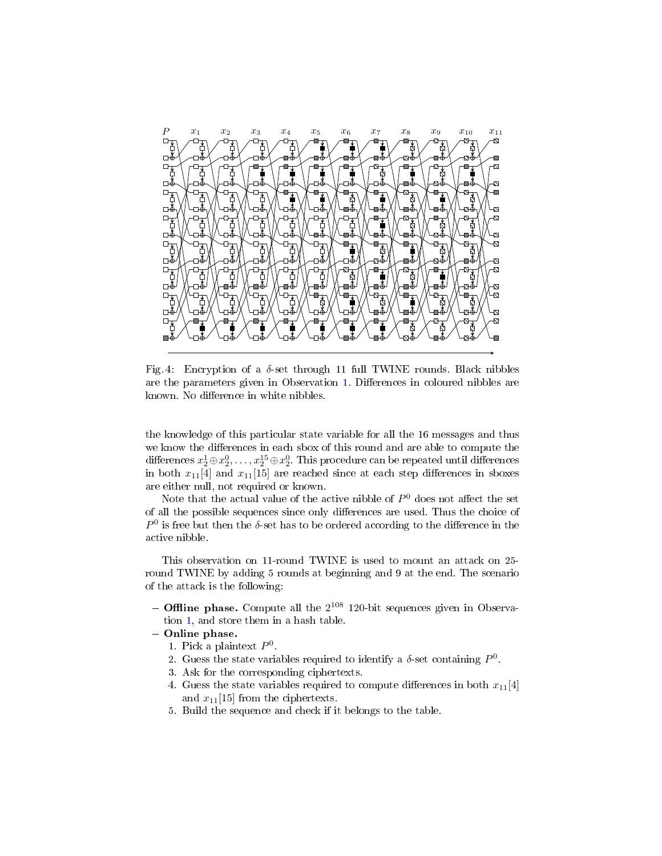<span id="page-6-0"></span>

Fig. 4: Encryption of a  $\delta$ -set through 11 full TWINE rounds. Black nibbles are the parameters given in Observation [1.](#page-5-2) Differences in coloured nibbles are known. No difference in white nibbles.

the knowledge of this particular state variable for all the 16 messages and thus we know the differences in each sbox of this round and are able to compute the differences  $x_2^1\!\oplus\! x_2^0,\ldots,x_2^{15}\!\oplus\! x_2^0$ . This procedure can be repeated until differences in both  $x_{11}[4]$  and  $x_{11}[15]$  are reached since at each step differences in sboxes are either null, not required or known.

Note that the actual value of the active nibble of  $P^0$  does not affect the set of all the possible sequences since only differences are used. Thus the choice of  $P^0$  is free but then the  $\delta$ -set has to be ordered according to the difference in the active nibble.

This observation on 11-round TWINE is used to mount an attack on 25 round TWINE by adding 5 rounds at beginning and 9 at the end. The scenario of the attack is the following:

- Offline phase. Compute all the  $2^{108}$  120-bit sequences given in Observation [1,](#page-5-2) and store them in a hash table.
- Online phase.
	- 1. Pick a plaintext  $P^0$ .
	- 2. Guess the state variables required to identify a  $\delta$ -set containing  $P^0$ .
	- 3. Ask for the corresponding ciphertexts.
	- 4. Guess the state variables required to compute differences in both  $x_{11}[4]$ and  $x_{11}[15]$  from the ciphertexts.
	- 5. Build the sequence and check if it belongs to the table.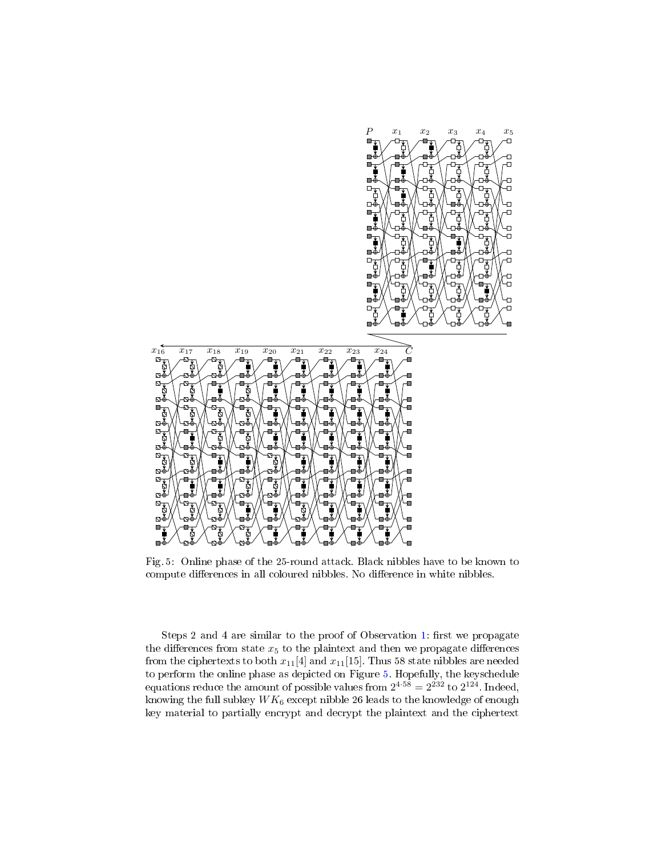<span id="page-7-0"></span>

Ò Ð

O

Ò

 $\overline{a}$ 

 $\overline{a}$ 

o

Ð

Ð

Ð

O Ð

Ò

പ∢

гıй

o

Fig. 5: Online phase of the 25-round attack. Black nibbles have to be known to compute differences in all coloured nibbles. No difference in white nibbles.

Steps 2 and 4 are similar to the proof of Observation [1:](#page-5-2) first we propagate the differences from state  $x_5$  to the plaintext and then we propagate differences from the ciphertexts to both  $x_{11}[4]$  and  $x_{11}[15]$ . Thus 58 state nibbles are needed to perform the online phase as depicted on Figure [5.](#page-7-0) Hopefully, the keyschedule equations reduce the amount of possible values from  $2^{4\cdot 58} = 2^{232}$  to  $2^{124}$ . Indeed, knowing the full subkey  $WK_6$  except nibble 26 leads to the knowledge of enough key material to partially encrypt and decrypt the plaintext and the ciphertext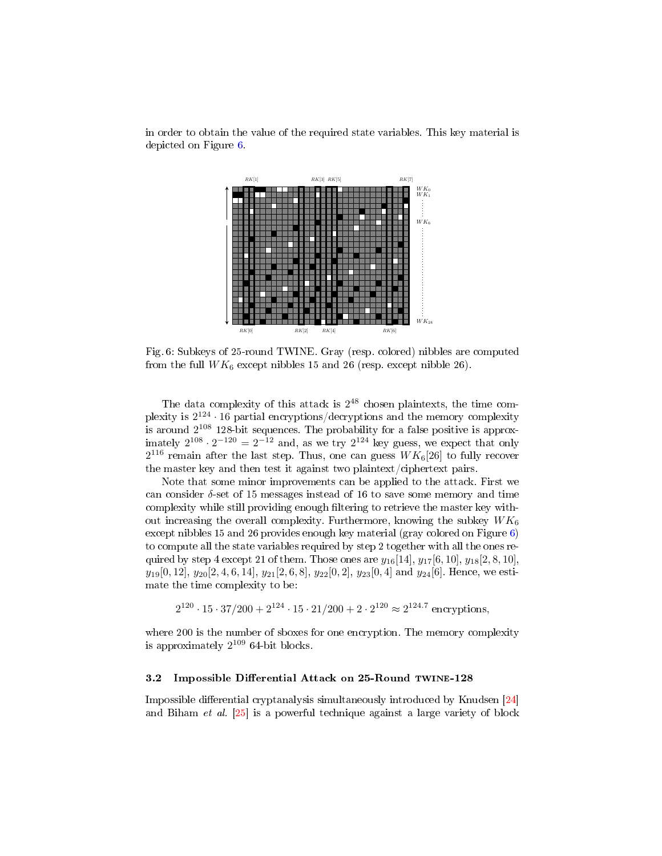

<span id="page-8-1"></span>in order to obtain the value of the required state variables. This key material is depicted on Figure [6.](#page-8-1)

Fig. 6: Subkeys of 25-round TWINE. Gray (resp. colored) nibbles are computed from the full  $WK_6$  except nibbles 15 and 26 (resp. except nibble 26).

The data complexity of this attack is  $2^{48}$  chosen plaintexts, the time complexity is  $2^{124} \cdot 16$  partial encryptions/decryptions and the memory complexity is around  $2^{108}$  128-bit sequences. The probability for a false positive is approximately  $2^{108} \cdot 2^{-120} = 2^{-12}$  and, as we try  $2^{124}$  key guess, we expect that only  $2^{116}$  remain after the last step. Thus, one can guess  $W K_6[26]$  to fully recover the master key and then test it against two plaintext/ciphertext pairs.

Note that some minor improvements can be applied to the attack. First we can consider  $\delta$ -set of 15 messages instead of 16 to save some memory and time complexity while still providing enough filtering to retrieve the master key without increasing the overall complexity. Furthermore, knowing the subkey  $WK_6$ except nibbles 15 and 26 provides enough key material (gray colored on Figure  $6$ ) to compute all the state variables required by step 2 together with all the ones required by step 4 except 21 of them. Those ones are  $y_{16}[14], y_{17}[6, 10], y_{18}[2, 8, 10]$ ,  $y_{19}[0, 12], y_{20}[2, 4, 6, 14], y_{21}[2, 6, 8], y_{22}[0, 2], y_{23}[0, 4]$  and  $y_{24}[6]$ . Hence, we estimate the time complexity to be:

$$
2^{120} \cdot 15 \cdot 37/200 + 2^{124} \cdot 15 \cdot 21/200 + 2 \cdot 2^{120} \approx 2^{124.7}
$$
 encryptions,

where 200 is the number of sboxes for one encryption. The memory complexity is approximately  $2^{109}$  64-bit blocks.

#### <span id="page-8-0"></span>3.2 Impossible Differential Attack on 25-Round TWINE-128

Impossible differential cryptanalysis simultaneously introduced by Knudsen  $[24]$ and Biham et al. [\[25\]](#page-23-2) is a powerful technique against a large variety of block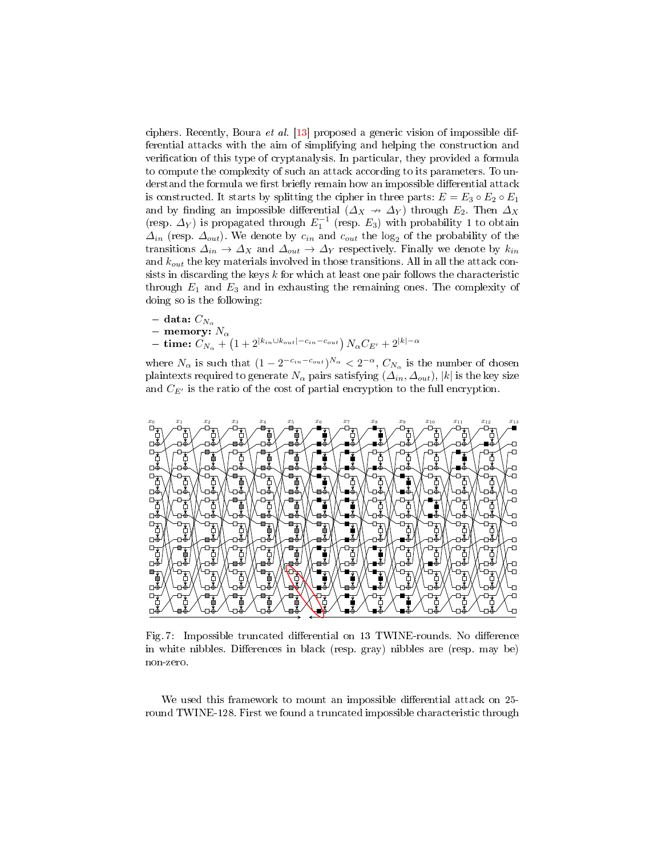ciphers. Recently, Boura et al. [\[13\]](#page-22-6) proposed a generic vision of impossible differential attacks with the aim of simplifying and helping the construction and verification of this type of cryptanalysis. In particular, they provided a formula to compute the complexity of such an attack according to its parameters. To understand the formula we first briefly remain how an impossible differential attack is constructed. It starts by splitting the cipher in three parts:  $E = E_3 \circ E_2 \circ E_1$ and by finding an impossible differential  $(\Delta_X \rightarrow \Delta_Y)$  through  $E_2$ . Then  $\Delta_X$ (resp.  $\Delta_Y$ ) is propagated through  $E_1^{-1}$  (resp.  $E_3$ ) with probability 1 to obtain  $\Delta_{in}$  (resp.  $\Delta_{out}$ ). We denote by  $c_{in}$  and  $c_{out}$  the log<sub>2</sub> of the probability of the transitions  $\Delta_{in} \to \Delta_X$  and  $\Delta_{out} \to \Delta_Y$  respectively. Finally we denote by  $k_{in}$ and  $k_{out}$  the key materials involved in those transitions. All in all the attack consists in discarding the keys  $k$  for which at least one pair follows the characteristic through  $E_1$  and  $E_3$  and in exhausting the remaining ones. The complexity of doing so is the following:

- data:  $C_{N_\alpha}$
- memory:  $N_{\alpha}$
- $-~\, {\bf time:}~C_{N_\alpha} + \left( 1 + 2^{|k_{in} \cup k_{out}|-c_{in}-c_{out}} \right) N_\alpha C_{E'} + 2^{|k|-\alpha|}$

where  $N_{\alpha}$  is such that  $(1 - 2^{-c_{in} - c_{out}})^{N_{\alpha}} < 2^{-\alpha}, C_{N_{\alpha}}$  is the number of chosen plaintexts required to generate  $N_{\alpha}$  pairs satisfying  $(\Delta_{in}, \Delta_{out})$ , |k| is the key size and  $C_{E'}$  is the ratio of the cost of partial encryption to the full encryption.

<span id="page-9-0"></span>

Fig. 7: Impossible truncated differential on 13 TWINE-rounds. No difference in white nibbles. Differences in black (resp. gray) nibbles are (resp. may be) non-zero.

We used this framework to mount an impossible differential attack on 25round TWINE-128. First we found a truncated impossible characteristic through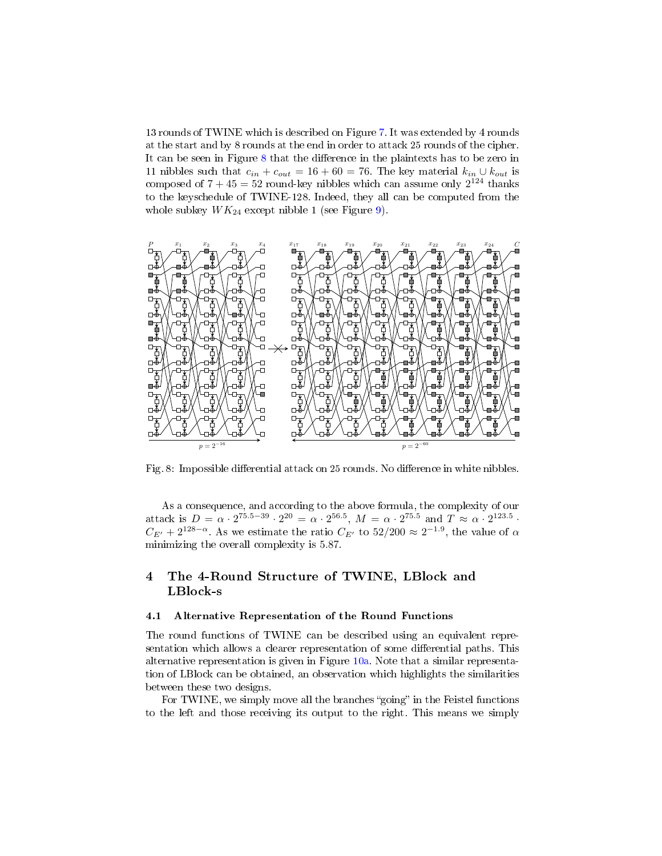13 rounds of TWINE which is described on Figure [7.](#page-9-0) It was extended by 4 rounds at the start and by 8 rounds at the end in order to attack 25 rounds of the cipher. It can be seen in Figure  $8$  that the difference in the plaintexts has to be zero in 11 nibbles such that  $c_{in} + c_{out} = 16 + 60 = 76$ . The key material  $k_{in} \cup k_{out}$  is composed of  $7 + 45 = 52$  round-key nibbles which can assume only  $2^{124}$  thanks to the keyschedule of TWINE-128. Indeed, they all can be computed from the whole subkey  $WK_{24}$  except nibble 1 (see Figure [9\)](#page-11-0).

<span id="page-10-1"></span>

Fig. 8: Impossible differential attack on 25 rounds. No difference in white nibbles.

As a consequence, and according to the above formula, the complexity of our attack is  $D = \alpha \cdot 2^{75.5 - 39} \cdot 2^{20} = \alpha \cdot 2^{56.5}$ ,  $M = \alpha \cdot 2^{75.5}$  and  $T \approx \alpha \cdot 2^{123.5}$ .  $C_{E'} + 2^{128-\alpha}$ . As we estimate the ratio  $C_{E'}$  to  $52/200 \approx 2^{-1.9}$ , the value of  $\alpha$ minimizing the overall complexity is 5.87.

# <span id="page-10-0"></span>4 The 4-Round Structure of TWINE, LBlock and LBlock-s

#### 4.1 Alternative Representation of the Round Functions

The round functions of TWINE can be described using an equivalent representation which allows a clearer representation of some differential paths. This alternative representation is given in Figure [10a.](#page-11-1) Note that a similar representation of LBlock can be obtained, an observation which highlights the similarities between these two designs.

For TWINE, we simply move all the branches "going" in the Feistel functions to the left and those receiving its output to the right. This means we simply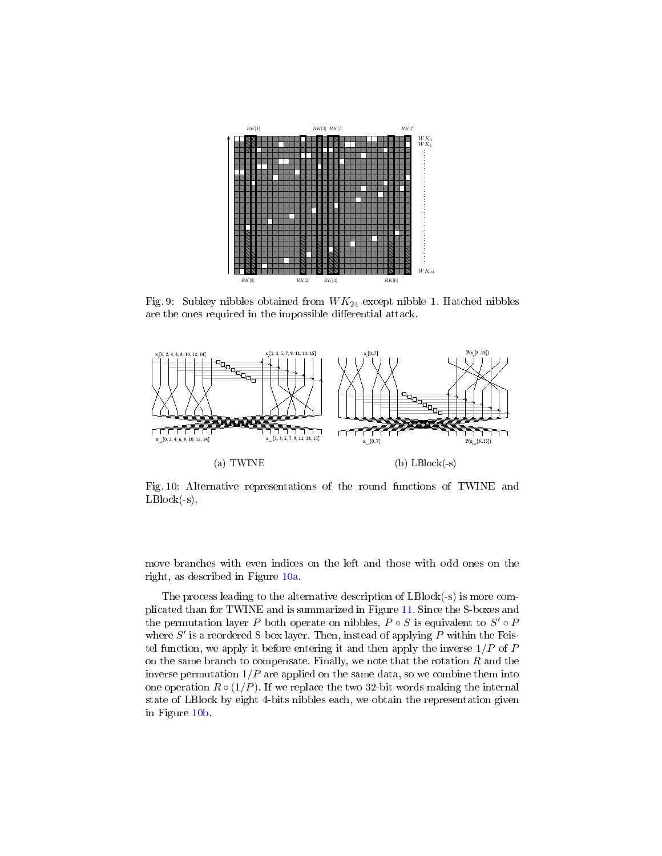<span id="page-11-0"></span>

Fig. 9: Subkey nibbles obtained from  $WK_{24}$  except nibble 1. Hatched nibbles are the ones required in the impossible differential attack.

<span id="page-11-1"></span>

Fig. 10: Alternative representations of the round functions of TWINE and  $LBlock(-s)$ .

move branches with even indices on the left and those with odd ones on the right, as described in Figure [10a.](#page-11-1)

The process leading to the alternative description of LBlock(-s) is more complicated than for TWINE and is summarized in Figure [11.](#page-12-1) Since the S-boxes and the permutation layer P both operate on nibbles,  $P \circ S$  is equivalent to  $S' \circ P$ where  $S'$  is a reordered S-box layer. Then, instead of applying  $P$  within the Feistel function, we apply it before entering it and then apply the inverse  $1/P$  of  $P$ on the same branch to compensate. Finally, we note that the rotation  $R$  and the inverse permutation  $1/P$  are applied on the same data, so we combine them into one operation  $R \circ (1/P)$ . If we replace the two 32-bit words making the internal state of LBlock by eight 4-bits nibbles each, we obtain the representation given in Figure [10b.](#page-11-1)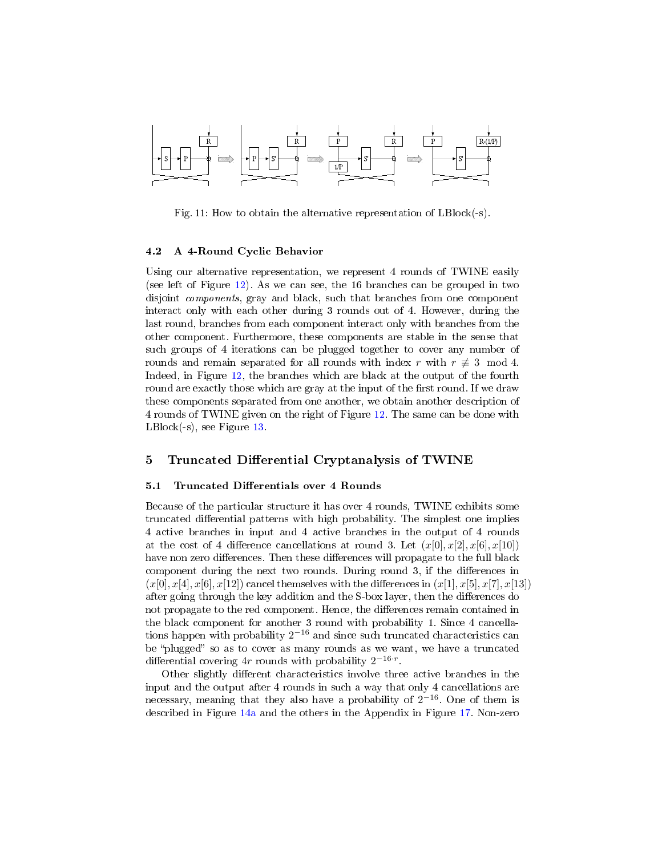<span id="page-12-1"></span>

Fig. 11: How to obtain the alternative representation of LBlock(-s).

#### 4.2 A 4-Round Cyclic Behavior

Using our alternative representation, we represent 4 rounds of TWINE easily (see left of Figure [12\)](#page-13-0). As we can see, the 16 branches can be grouped in two disjoint components, gray and black, such that branches from one component interact only with each other during 3 rounds out of 4. However, during the last round, branches from each component interact only with branches from the other component. Furthermore, these components are stable in the sense that such groups of 4 iterations can be plugged together to cover any number of rounds and remain separated for all rounds with index r with  $r \neq 3 \mod 4$ . Indeed, in Figure [12,](#page-13-0) the branches which are black at the output of the fourth round are exactly those which are gray at the input of the first round. If we draw these components separated from one another, we obtain another description of 4 rounds of TWINE given on the right of Figure [12.](#page-13-0) The same can be done with LBlock(-s), see Figure [13.](#page-13-1)

# <span id="page-12-0"></span>5 Truncated Differential Cryptanalysis of TWINE

### 5.1 Truncated Differentials over 4 Rounds

Because of the particular structure it has over 4 rounds, TWINE exhibits some truncated differential patterns with high probability. The simplest one implies 4 active branches in input and 4 active branches in the output of 4 rounds at the cost of 4 difference cancellations at round 3. Let  $(x[0], x[2], x[6], x[10])$ have non zero differences. Then these differences will propagate to the full black component during the next two rounds. During round 3, if the differences in  $(x[0], x[4], x[6], x[12])$  cancel themselves with the differences in  $(x[1], x[5], x[7], x[13])$ after going through the key addition and the S-box layer, then the differences do not propagate to the red component. Hence, the differences remain contained in the black component for another 3 round with probability 1. Since 4 cancellations happen with probability  $2^{-16}$  and since such truncated characteristics can be "plugged" so as to cover as many rounds as we want, we have a truncated differential covering  $4r$  rounds with probability  $2^{-16\cdot r}$ .

Other slightly different characteristics involve three active branches in the input and the output after 4 rounds in such a way that only 4 cancellations are necessary, meaning that they also have a probability of  $2^{-16}$ . One of them is described in Figure [14a](#page-14-0) and the others in the Appendix in Figure [17.](#page-24-0) Non-zero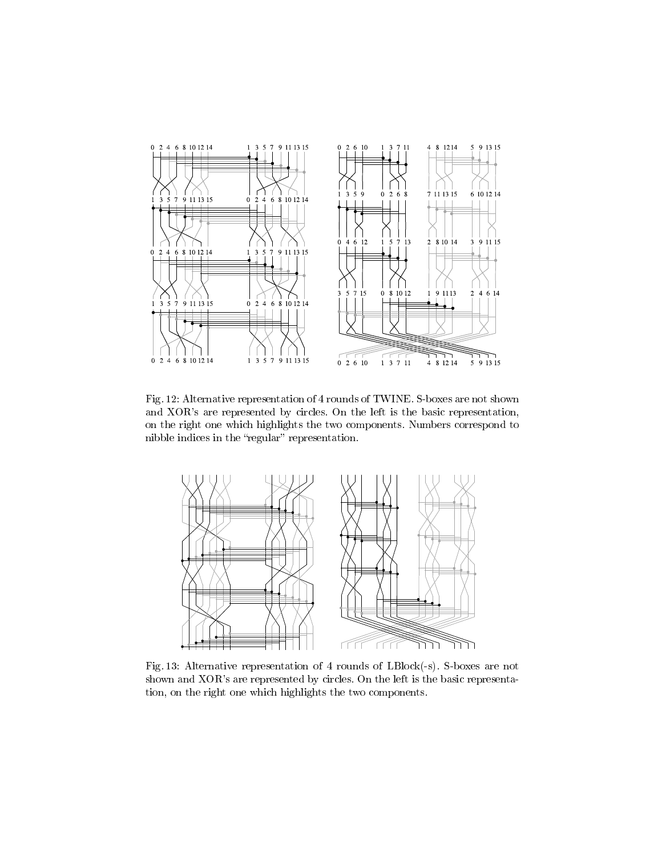<span id="page-13-0"></span>

Fig. 12: Alternative representation of 4 rounds of TWINE. S-boxes are not shown and XOR's are represented by circles. On the left is the basic representation, on the right one which highlights the two components. Numbers correspond to nibble indices in the "regular" representation.

<span id="page-13-1"></span>

Fig. 13: Alternative representation of 4 rounds of LBlock(-s). S-boxes are not shown and XOR's are represented by circles. On the left is the basic representation, on the right one which highlights the two components.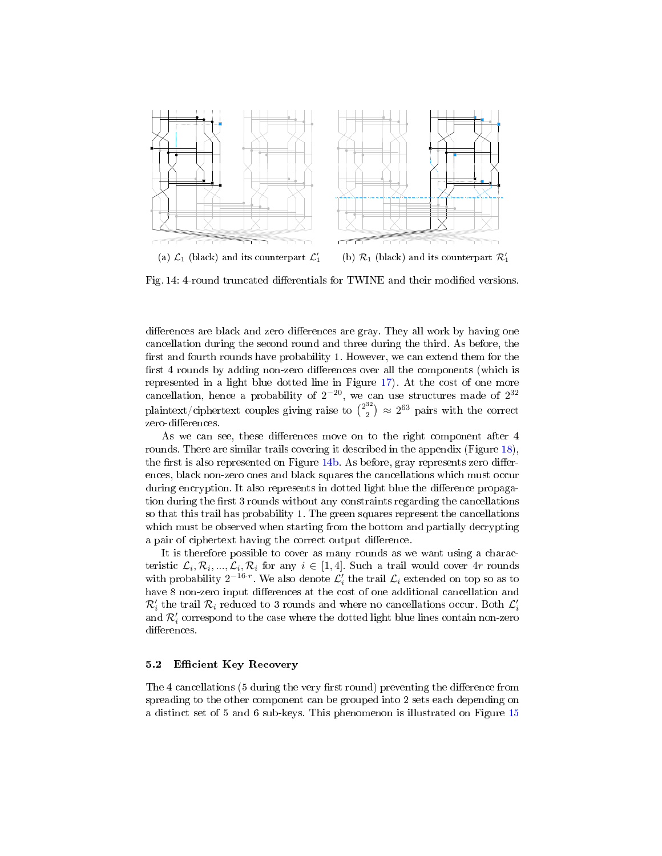<span id="page-14-0"></span>

Fig. 14: 4-round truncated differentials for TWINE and their modified versions.

differences are black and zero differences are gray. They all work by having one cancellation during the second round and three during the third. As before, the first and fourth rounds have probability 1. However, we can extend them for the first 4 rounds by adding non-zero differences over all the components (which is represented in a light blue dotted line in Figure [17\)](#page-24-0). At the cost of one more cancellation, hence a probability of  $2^{-20}$ , we can use structures made of  $2^{32}$ plaintext/ciphertext couples giving raise to  $\binom{2^{32}}{2}$  $\binom{32}{2}$   $\approx$  2<sup>63</sup> pairs with the correct zero-differences.

As we can see, these differences move on to the right component after 4 rounds. There are similar trails covering it described in the appendix (Figure [18\)](#page-25-0), the first is also represented on Figure [14b.](#page-14-0) As before, gray represents zero differences, black non-zero ones and black squares the cancellations which must occur during encryption. It also represents in dotted light blue the difference propagation during the first 3 rounds without any constraints regarding the cancellations so that this trail has probability 1. The green squares represent the cancellations which must be observed when starting from the bottom and partially decrypting a pair of ciphertext having the correct output difference.

It is therefore possible to cover as many rounds as we want using a characteristic  $\mathcal{L}_i, \mathcal{R}_i, ..., \mathcal{L}_i, \mathcal{R}_i$  for any  $i \in [1, 4]$ . Such a trail would cover  $4r$  rounds with probability  $2^{-16\cdot r}$ . We also denote  $\mathcal{L}'_i$  the trail  $\mathcal{L}_i$  extended on top so as to have 8 non-zero input differences at the cost of one additional cancellation and  $\mathcal{R}_i'$  the trail  $\mathcal{R}_i$  reduced to 3 rounds and where no cancellations occur. Both  $\mathcal{L}_i'$ and  $\mathcal{R}'_i$  correspond to the case where the dotted light blue lines contain non-zero differences.

#### <span id="page-14-1"></span>5.2 Efficient Key Recovery

The 4 cancellations (5 during the very first round) preventing the difference from spreading to the other component can be grouped into 2 sets each depending on a distinct set of 5 and 6 sub-keys. This phenomenon is illustrated on Figure [15](#page-15-1)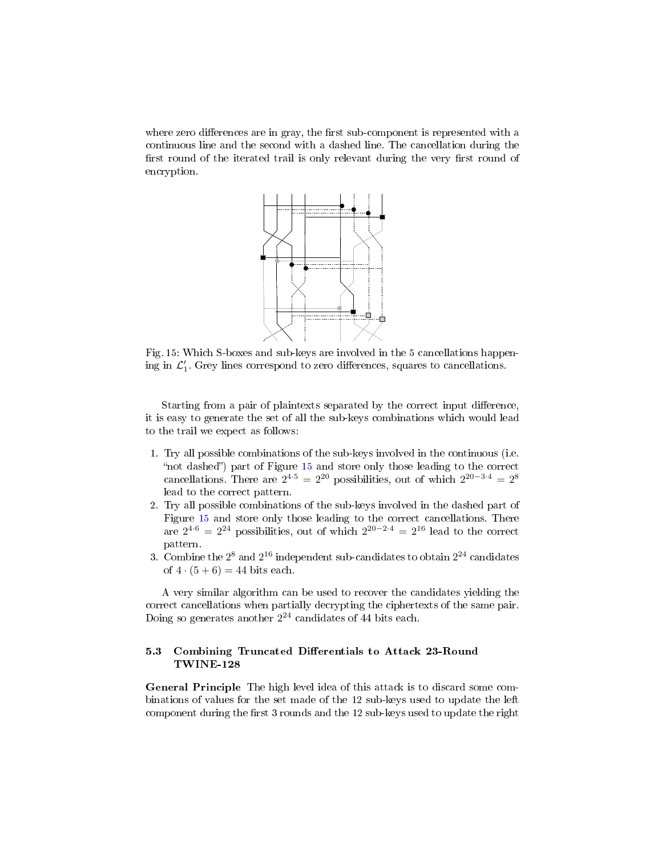<span id="page-15-1"></span>where zero differences are in gray, the first sub-component is represented with a continuous line and the second with a dashed line. The cancellation during the first round of the iterated trail is only relevant during the very first round of encryption.



Fig. 15: Which S-boxes and sub-keys are involved in the 5 cancellations happening in  $\mathcal{L}_1'$ . Grey lines correspond to zero differences, squares to cancellations.

Starting from a pair of plaintexts separated by the correct input difference. it is easy to generate the set of all the sub-keys combinations which would lead to the trail we expect as follows:

- 1. Try all possible combinations of the sub-keys involved in the continuous (i.e. "not dashed") part of Figure [15](#page-15-1) and store only those leading to the correct cancellations. There are  $2^{4 \cdot 5} = 2^{20}$  possibilities, out of which  $2^{20-3 \cdot 4} = 2^8$ lead to the correct pattern.
- 2. Try all possible combinations of the sub-keys involved in the dashed part of Figure [15](#page-15-1) and store only those leading to the correct cancellations. There are  $2^{4.6} = 2^{24}$  possibilities, out of which  $2^{20-2.4} = 2^{16}$  lead to the correct pattern.
- 3. Combine the  $2^8$  and  $2^{16}$  independent sub-candidates to obtain  $2^{24}$  candidates of  $4 \cdot (5 + 6) = 44$  bits each.

A very similar algorithm can be used to recover the candidates yielding the correct cancellations when partially decrypting the ciphertexts of the same pair. Doing so generates another  $2^{24}$  candidates of 44 bits each.

### <span id="page-15-0"></span>5.3 Combining Truncated Differentials to Attack 23-Round TWINE-128

General Principle The high level idea of this attack is to discard some combinations of values for the set made of the 12 sub-keys used to update the left component during the first 3 rounds and the 12 sub-keys used to update the right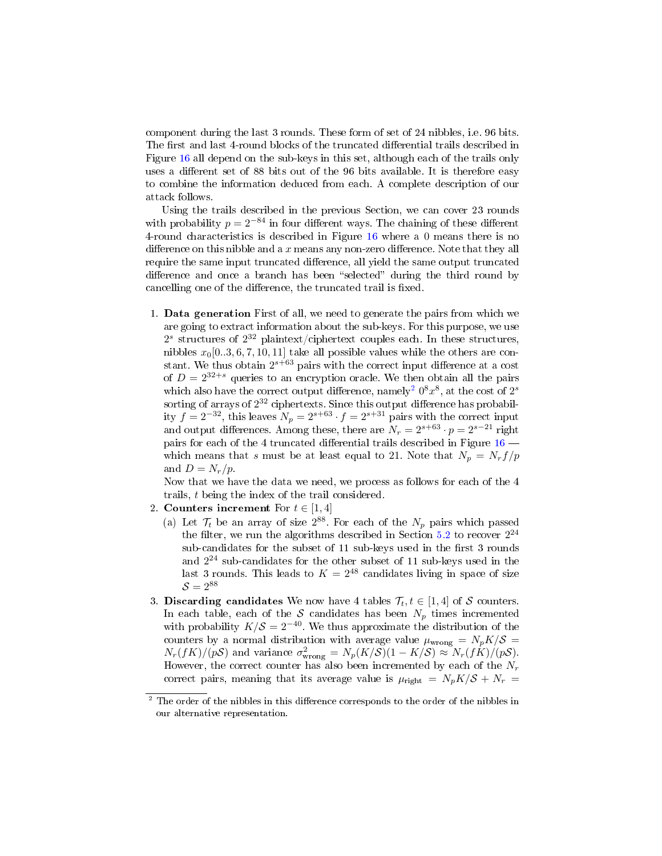component during the last 3 rounds. These form of set of 24 nibbles, i.e. 96 bits. The first and last 4-round blocks of the truncated differential trails described in Figure [16](#page-17-0) all depend on the sub-keys in this set, although each of the trails only uses a different set of 88 bits out of the 96 bits available. It is therefore easy to combine the information deduced from each. A complete description of our attack follows.

Using the trails described in the previous Section, we can cover 23 rounds with probability  $p = 2^{-84}$  in four different ways. The chaining of these different 4-round characteristics is described in Figure [16](#page-17-0) where a 0 means there is no difference on this nibble and a  $x$  means any non-zero difference. Note that they all require the same input truncated difference, all yield the same output truncated difference and once a branch has been "selected" during the third round by cancelling one of the difference, the truncated trail is fixed.

1. Data generation First of all, we need to generate the pairs from which we are going to extract information about the sub-keys. For this purpose, we use  $2<sup>s</sup>$  structures of  $2<sup>32</sup>$  plaintext/ciphertext couples each. In these structures, nibbles  $x_0[0..3, 6, 7, 10, 11]$  take all possible values while the others are constant. We thus obtain  $2^{s+63}$  pairs with the correct input difference at a cost of  $D = 2^{32+s}$  queries to an encryption oracle. We then obtain all the pairs which also have the correct output difference, namely<sup>[2](#page-16-0)</sup>  $0^8 x^8$ , at the cost of  $2^s$ sorting of arrays of  $2^{32}$  ciphertexts. Since this output difference has probability  $f = 2^{-32}$ , this leaves  $N_p = 2^{s+63} \cdot f = 2^{s+31}$  pairs with the correct input and output differences. Among these, there are  $N_r = 2^{s+63} \cdot p = 2^{s-21}$  right pairs for each of the 4 truncated differential trails described in Figure  $16$  – which means that s must be at least equal to 21. Note that  $N_p = N_r f/p$ and  $D = N_r/p$ .

Now that we have the data we need, we process as follows for each of the 4 trails, t being the index of the trail considered.

- 2. Counters increment For  $t \in [1, 4]$ 
	- (a) Let  $\mathcal{T}_t$  be an array of size  $2^{88}$ . For each of the  $N_p$  pairs which passed the filter, we run the algorithms described in Section [5.2](#page-14-1) to recover  $2^{24}$ sub-candidates for the subset of 11 sub-keys used in the first 3 rounds and 2 <sup>24</sup> sub-candidates for the other subset of 11 sub-keys used in the last 3 rounds. This leads to  $K = 2^{48}$  candidates living in space of size  $S = 2^{88}$
- 3. Discarding candidates We now have 4 tables  $\mathcal{T}_t, t \in [1, 4]$  of S counters. In each table, each of the S candidates has been  $N_p$  times incremented with probability  $K/S = 2^{-40}$ . We thus approximate the distribution of the counters by a normal distribution with average value  $\mu_{\text{wrong}} = N_p K/S =$  $N_r(fK)/(pS)$  and variance  $\sigma_{\text{wrong}}^2 = N_p(K/S)(1 - K/S) \approx N_r(fK)/(pS).$ However, the correct counter has also been incremented by each of the  $N_r$ correct pairs, meaning that its average value is  $\mu_{\text{right}} = N_p K/S + N_r$

<span id="page-16-0"></span> $2$  The order of the nibbles in this difference corresponds to the order of the nibbles in our alternative representation.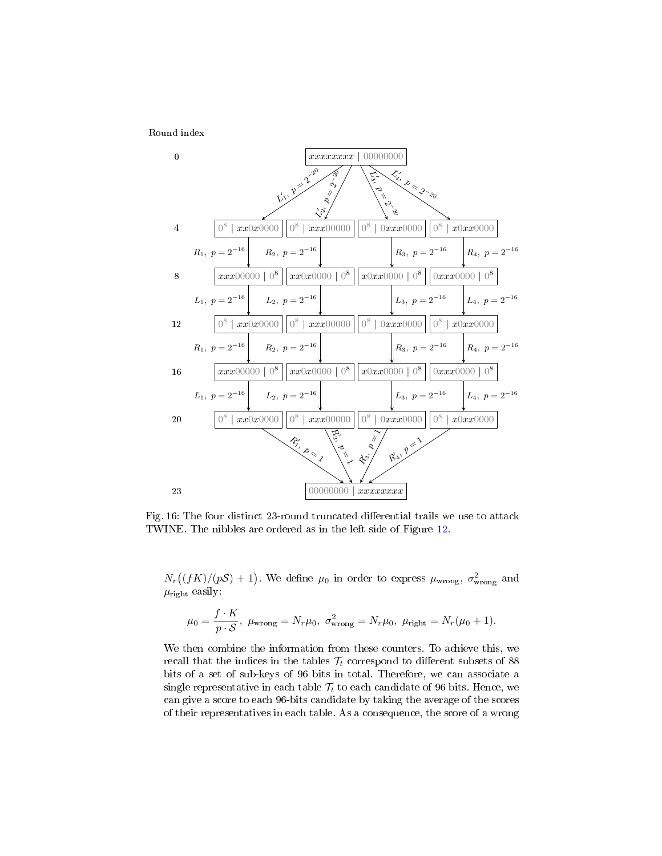<span id="page-17-0"></span>Round index



Fig. 16: The four distinct 23-round truncated differential trails we use to attack TWINE. The nibbles are ordered as in the left side of Figure [12.](#page-13-0)

 $N_r((fK)/(pS) + 1)$ . We define  $\mu_0$  in order to express  $\mu_{\text{wrong}}$ ,  $\sigma_{\text{wrong}}^2$  and  $\mu_{\text{right}}$  easily:

$$
\mu_0 = \frac{f \cdot K}{p \cdot S}, \ \mu_{\text{wrong}} = N_r \mu_0, \ \sigma_{\text{wrong}}^2 = N_r \mu_0, \ \mu_{\text{right}} = N_r (\mu_0 + 1).
$$

We then combine the information from these counters. To achieve this, we recall that the indices in the tables  $\mathcal{T}_t$  correspond to different subsets of 88 bits of a set of sub-keys of 96 bits in total. Therefore, we can associate a single representative in each table  $\mathcal{T}_t$  to each candidate of 96 bits. Hence, we can give a score to each 96-bits candidate by taking the average of the scores of their representatives in each table. As a consequence, the score of a wrong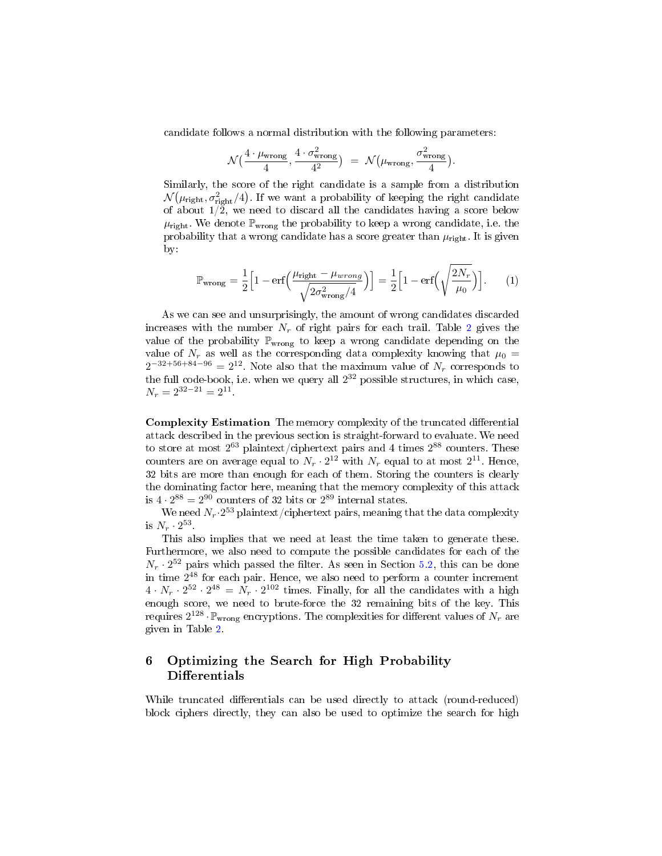candidate follows a normal distribution with the following parameters:

$$
\mathcal{N}\left(\frac{4 \cdot \mu_{\text{wrong}}}{4}, \frac{4 \cdot \sigma_{\text{wrong}}^2}{4^2}\right) = \mathcal{N}\left(\mu_{\text{wrong}}, \frac{\sigma_{\text{wrong}}^2}{4}\right)
$$

.

Similarly, the score of the right candidate is a sample from a distribution  $\mathcal{N}(\mu_{\text{right}}, \sigma_{\text{right}}^2/4)$ . If we want a probability of keeping the right candidate of about  $1/\tilde{2}$ , we need to discard all the candidates having a score below  $\mu_{\text{right}}$ . We denote  $\mathbb{P}_{\text{wrong}}$  the probability to keep a wrong candidate, i.e. the probability that a wrong candidate has a score greater than  $\mu_{\text{right}}$ . It is given by:

$$
\mathbb{P}_{\text{wrong}} = \frac{1}{2} \Big[ 1 - \text{erf}\Big( \frac{\mu_{\text{right}} - \mu_{wrong}}{\sqrt{2\sigma_{\text{wrong}}^2/4}} \Big) \Big] = \frac{1}{2} \Big[ 1 - \text{erf}\Big( \sqrt{\frac{2N_r}{\mu_0}} \Big) \Big]. \tag{1}
$$

As we can see and unsurprisingly, the amount of wrong candidates discarded increases with the number  $N_r$  of right pairs for each trail. Table [2](#page-19-0) gives the value of the probability  $\mathbb{P}_{\text{wrong}}$  to keep a wrong candidate depending on the value of  $N_r$  as well as the corresponding data complexity knowing that  $\mu_0 =$  $2^{-32+56+84-96} = 2^{12}$ . Note also that the maximum value of  $N_r$  corresponds to the full code-book, i.e. when we query all  $2^{32}$  possible structures, in which case,  $N_r = 2^{32-21} = 2^{11}.$ 

Complexity Estimation The memory complexity of the truncated differential attack described in the previous section is straight-forward to evaluate. We need to store at most  $2^{63}$  plaintext/ciphertext pairs and 4 times  $2^{88}$  counters. These counters are on average equal to  $N_r \cdot 2^{12}$  with  $N_r$  equal to at most  $2^{11}$ . Hence, 32 bits are more than enough for each of them. Storing the counters is clearly the dominating factor here, meaning that the memory complexity of this attack is  $4 \cdot 2^{88} = 2^{90}$  counters of 32 bits or  $2^{89}$  internal states.

We need  $N_r{\cdot}2^{53}$  plaint ${\rm ext}/{\rm ciphertext}$  pairs, meaning that the data complexity is  $N_r \cdot 2^{53}$ .

This also implies that we need at least the time taken to generate these. Furthermore, we also need to compute the possible candidates for each of the  $N_r \cdot 2^{52}$  pairs which passed the filter. As seen in Section [5.2,](#page-14-1) this can be done in time 2 <sup>48</sup> for each pair. Hence, we also need to perform a counter increment  $4 \cdot N_r \cdot 2^{52} \cdot 2^{48} = N_r \cdot 2^{102}$  times. Finally, for all the candidates with a high enough score, we need to brute-force the 32 remaining bits of the key. This requires  $2^{128} \cdot \mathbb{P}_{\text{wrong}}$  encryptions. The complexities for different values of  $N_r$  are given in Table [2.](#page-19-0)

# 6 Optimizing the Search for High Probability  $\mathbf{D}$ ifferentials

While truncated differentials can be used directly to attack (round-reduced) block ciphers directly, they can also be used to optimize the search for high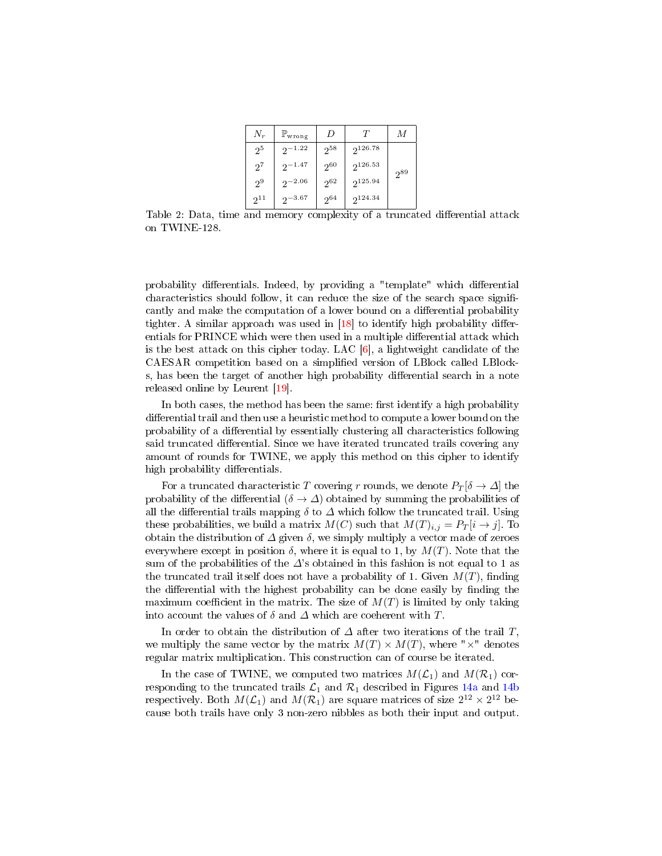| $N_r$          | $\mathbb{P}_{\text{wrong}}$ | D        | $\tau$       | М        |
|----------------|-----------------------------|----------|--------------|----------|
| 2 <sup>5</sup> | $2^{-1.22}$                 | $2^{58}$ | $2^{126.78}$ |          |
| $2^7$          | $2^{-1.47}$                 | $2^{60}$ | $2^{126.53}$ | $2^{89}$ |
| 2 <sup>9</sup> | $2^{-2.06}$                 | $2^{62}$ | $2^{125.94}$ |          |
| $2^{11}$       | $2^{-3.67}$                 | $2^{64}$ | $2^{124.34}$ |          |

<span id="page-19-0"></span>Table 2: Data, time and memory complexity of a truncated differential attack on TWINE-128.

probability differentials. Indeed, by providing a "template" which differential characteristics should follow, it can reduce the size of the search space significantly and make the computation of a lower bound on a differential probability tighter. A similar approach was used in  $[18]$  to identify high probability differentials for PRINCE which were then used in a multiple differential attack which is the best attack on this cipher today. LAC [\[6\]](#page-22-1), a lightweight candidate of the CAESAR competition based on a simplied version of LBlock called LBlocks, has been the target of another high probability differential search in a note released online by Leurent [\[19\]](#page-22-14).

In both cases, the method has been the same: first identify a high probability differential trail and then use a heuristic method to compute a lower bound on the probability of a dierential by essentially clustering all characteristics following said truncated differential. Since we have iterated truncated trails covering any amount of rounds for TWINE, we apply this method on this cipher to identify high probability differentials.

For a truncated characteristic T covering r rounds, we denote  $P_T[\delta \to \Delta]$  the probability of the differential ( $\delta \rightarrow \Delta$ ) obtained by summing the probabilities of all the differential trails mapping  $\delta$  to  $\Delta$  which follow the truncated trail. Using these probabilities, we build a matrix  $M(C)$  such that  $M(T)_{i,j} = P_T[i \rightarrow j]$ . To obtain the distribution of  $\Delta$  given  $\delta$ , we simply multiply a vector made of zeroes everywhere except in position  $\delta$ , where it is equal to 1, by  $M(T)$ . Note that the sum of the probabilities of the  $\Delta$ 's obtained in this fashion is not equal to 1 as the truncated trail itself does not have a probability of 1. Given  $M(T)$ , finding the differential with the highest probability can be done easily by finding the maximum coefficient in the matrix. The size of  $M(T)$  is limited by only taking into account the values of  $\delta$  and  $\Delta$  which are coeherent with T.

In order to obtain the distribution of  $\Delta$  after two iterations of the trail T. we multiply the same vector by the matrix  $M(T) \times M(T)$ , where " $\times$ " denotes regular matrix multiplication. This construction can of course be iterated.

In the case of TWINE, we computed two matrices  $M(\mathcal{L}_1)$  and  $M(\mathcal{R}_1)$  corresponding to the truncated trails  $\mathcal{L}_1$  and  $\mathcal{R}_1$  described in Figures [14a](#page-14-0) and [14b](#page-14-0) respectively. Both  $M({\cal L}_1)$  and  $M({\cal R}_1)$  are square matrices of size  $2^{12}\times 2^{12}$  because both trails have only 3 non-zero nibbles as both their input and output.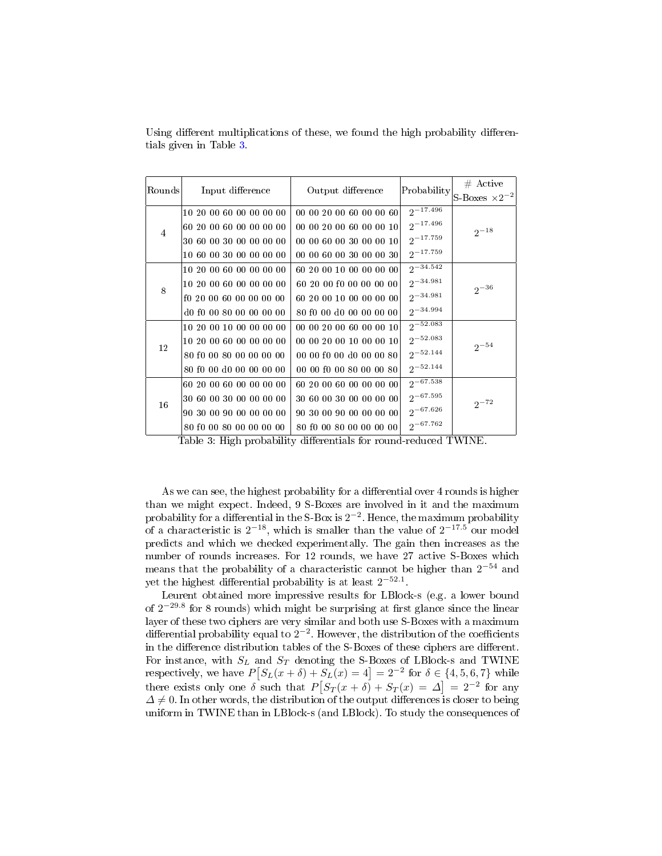<span id="page-20-0"></span>

| Rounds         | Input difference        | Output difference       | Probability   | $#$ Active              |
|----------------|-------------------------|-------------------------|---------------|-------------------------|
|                |                         |                         |               | S-Boxes $\times 2^{-2}$ |
| $\overline{4}$ | 10 20 00 60 00 00 00 00 | 00 00 20 00 60 00 00 60 | $2^{-17.496}$ | $2^{-18}$               |
|                | 60 20 00 60 00 00 00 00 | 00 00 20 00 60 00 00 10 | $2^{-17.496}$ |                         |
|                | 30 60 00 30 00 00 00 00 | 00 00 60 00 30 00 00 10 | $2^{-17.759}$ |                         |
|                | 10 60 00 30 00 00 00 00 | 00 00 60 00 30 00 00 30 | $2^{-17.759}$ |                         |
| 8              | 10 20 00 60 00 00 00 00 | 60 20 00 10 00 00 00 00 | $2^{-34.542}$ | $2^{-36}$               |
|                | 10 20 00 60 00 00 00 00 | 60 20 00 f0 00 00 00 00 | $2^{-34.981}$ |                         |
|                | f0 20 00 60 00 00 00 00 | 60 20 00 10 00 00 00 00 | $2^{-34.981}$ |                         |
|                | d0 f0 00 80 00 00 00 00 | 80 f0 00 d0 00 00 00 00 | $2^{-34.994}$ |                         |
| 12             | 10 20 00 10 00 00 00 00 | 00 00 20 00 60 00 00 10 | $2^{-52.083}$ | $2^{-54}$               |
|                | 10 20 00 60 00 00 00 00 | 00 00 20 00 10 00 00 10 | $2^{-52.083}$ |                         |
|                | 80 f0 00 80 00 00 00 00 | 00 00 f0 00 d0 00 00 80 | $2^{-52.144}$ |                         |
|                | 80 f0 00 d0 00 00 00 00 | 00 00 f0 00 80 00 00 80 | $2^{-52.144}$ |                         |
| 16             | 60 20 00 60 00 00 00 00 | 60 20 00 60 00 00 00 00 | $2^{-67.538}$ | $2^{-72}$               |
|                | 30 60 00 30 00 00 00 00 | 30 60 00 30 00 00 00 00 | $2^{-67.595}$ |                         |
|                | 90 30 00 90 00 00 00 00 | 90 30 00 90 00 00 00 00 | $2^{-67.626}$ |                         |
|                | 80 f0 00 80 00 00 00 00 | 80 f0 00 80 00 00 00 00 | $2^{-67.762}$ |                         |

Using different multiplications of these, we found the high probability differentials given in Table [3.](#page-20-0)

Table 3: High probability differentials for round-reduced TWINE.

As we can see, the highest probability for a differential over 4 rounds is higher than we might expect. Indeed, 9 S-Boxes are involved in it and the maximum probability for a differential in the S-Box is  $2^{-2}$ . Hence, the maximum probability of a characteristic is  $2^{-18}$ , which is smaller than the value of  $2^{-17.5}$  our model predicts and which we checked experimentally. The gain then increases as the number of rounds increases. For 12 rounds, we have 27 active S-Boxes which means that the probability of a characteristic cannot be higher than  $2^{-54}$  and yet the highest differential probability is at least  $2^{-52.1}$ .

Leurent obtained more impressive results for LBlock-s (e.g. a lower bound of  $2^{-29.8}$  for 8 rounds) which might be surprising at first glance since the linear layer of these two ciphers are very similar and both use S-Boxes with a maximum differential probability equal to  $2^{-2}$ . However, the distribution of the coefficients in the difference distribution tables of the S-Boxes of these ciphers are different. For instance, with  $S_L$  and  $S_T$  denoting the S-Boxes of LBlock-s and TWINE respectively, we have  $P[S_L(x + \delta) + S_L(x) = 4] = 2^{-2}$  for  $\delta \in \{4, 5, 6, 7\}$  while there exists only one  $\delta$  such that  $P[S_T(x + \delta) + S_T(x)] = \Delta$  = 2<sup>-2</sup> for any  $\Delta \neq 0$ . In other words, the distribution of the output differences is closer to being uniform in TWINE than in LBlock-s (and LBlock). To study the consequences of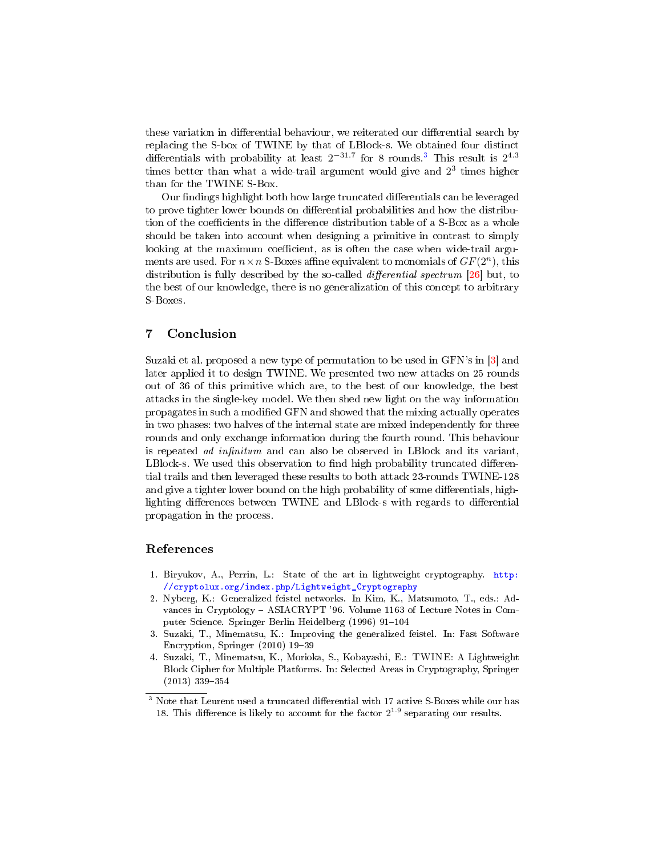these variation in differential behaviour, we reiterated our differential search by replacing the S-box of TWINE by that of LBlock-s. We obtained four distinct differentials with probability at least  $2^{-31.7}$  $2^{-31.7}$  $2^{-31.7}$  for 8 rounds.<sup>3</sup> This result is  $2^{4.3}$ times better than what a wide-trail argument would give and  $2^3$  times higher than for the TWINE S-Box.

Our findings highlight both how large truncated differentials can be leveraged to prove tighter lower bounds on differential probabilities and how the distribution of the coefficients in the difference distribution table of a S-Box as a whole should be taken into account when designing a primitive in contrast to simply looking at the maximum coefficient, as is often the case when wide-trail arguments are used. For  $n \times n$  S-Boxes affine equivalent to monomials of  $GF(2^n)$ , this distribution is fully described by the so-called *differential spectrum* [\[26\]](#page-23-3) but, to the best of our knowledge, there is no generalization of this concept to arbitrary S-Boxes.

# 7 Conclusion

Suzaki et al. proposed a new type of permutation to be used in GFN's in [\[3\]](#page-21-2) and later applied it to design TWINE. We presented two new attacks on 25 rounds out of 36 of this primitive which are, to the best of our knowledge, the best attacks in the single-key model. We then shed new light on the way information propagates in such a modied GFN and showed that the mixing actually operates in two phases: two halves of the internal state are mixed independently for three rounds and only exchange information during the fourth round. This behaviour is repeated  $ad$  infinitum and can also be observed in LBlock and its variant, LBlock-s. We used this observation to find high probability truncated differential trails and then leveraged these results to both attack 23-rounds TWINE-128 and give a tighter lower bound on the high probability of some differentials, highlighting differences between TWINE and LBlock-s with regards to differential propagation in the process.

## References

- <span id="page-21-0"></span>1. Biryukov, A., Perrin, L.: State of the art in lightweight cryptography. [http:](http://cryptolux.org/index.php/Lightweight_Cryptography) [//cryptolux.org/index.php/Lightweight\\_Cryptography](http://cryptolux.org/index.php/Lightweight_Cryptography)
- <span id="page-21-1"></span>2. Nyberg, K.: Generalized feistel networks. In Kim, K., Matsumoto, T., eds.: Advances in Cryptology ASIACRYPT '96. Volume 1163 of Lecture Notes in Computer Science. Springer Berlin Heidelberg (1996) 91-104
- <span id="page-21-2"></span>3. Suzaki, T., Minematsu, K.: Improving the generalized feistel. In: Fast Software Encryption, Springer (2010) 19-39
- <span id="page-21-3"></span>4. Suzaki, T., Minematsu, K., Morioka, S., Kobayashi, E.: TWINE: A Lightweight Block Cipher for Multiple Platforms. In: Selected Areas in Cryptography, Springer  $(2013)$  339-354

<span id="page-21-4"></span> $3$  Note that Leurent used a truncated differential with 17 active S-Boxes while our has 18. This difference is likely to account for the factor  $2^{1.9}$  separating our results.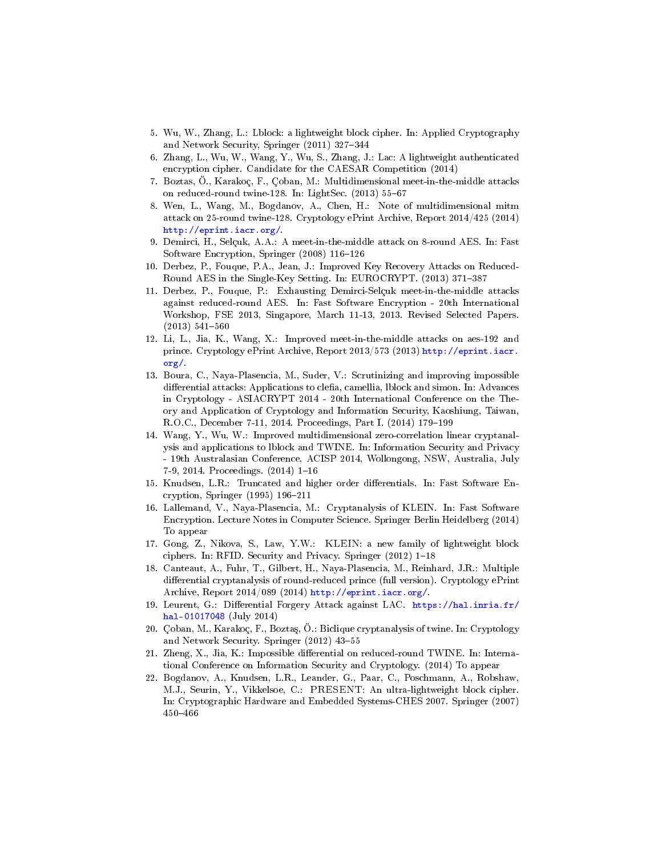- <span id="page-22-0"></span>5. Wu, W., Zhang, L.: Lblock: a lightweight block cipher. In: Applied Cryptography and Network Security, Springer (2011) 327-344
- <span id="page-22-1"></span>6. Zhang, L., Wu, W., Wang, Y., Wu, S., Zhang, J.: Lac: A lightweight authenticated encryption cipher. Candidate for the CAESAR Competition (2014)
- <span id="page-22-9"></span>7. Boztas, Ö., Karakoç, F., Çoban, M.: Multidimensional meet-in-the-middle attacks on reduced-round twine-128. In: LightSec.  $(2013)$  55-67
- <span id="page-22-10"></span>8. Wen, L., Wang, M., Bogdanov, A., Chen, H.: Note of multidimensional mitm attack on 25-round twine-128. Cryptology ePrint Archive, Report 2014/425 (2014) [http://eprint.iacr.org/.](http://eprint.iacr.org/)
- <span id="page-22-2"></span>9. Demirci, H., Selçuk, A.A.: A meet-in-the-middle attack on 8-round AES. In: Fast Software Encryption, Springer (2008) 116-126
- <span id="page-22-3"></span>10. Derbez, P., Fouque, P.A., Jean, J.: Improved Key Recovery Attacks on Reduced-Round AES in the Single-Key Setting. In: EUROCRYPT. (2013) 371-387
- <span id="page-22-4"></span>11. Derbez, P., Fouque, P.: Exhausting Demirci-Selçuk meet-in-the-middle attacks against reduced-round AES. In: Fast Software Encryption - 20th International Workshop, FSE 2013, Singapore, March 11-13, 2013. Revised Selected Papers.  $(2013) 541-560$
- <span id="page-22-5"></span>12. Li, L., Jia, K., Wang, X.: Improved meet-in-the-middle attacks on aes-192 and prince. Cryptology ePrint Archive, Report 2013/573 (2013) [http://eprint.iacr.](http://eprint.iacr.org/) [org/.](http://eprint.iacr.org/)
- <span id="page-22-6"></span>13. Boura, C., Naya-Plasencia, M., Suder, V.: Scrutinizing and improving impossible differential attacks: Applications to clefia, camellia, lblock and simon. In: Advances in Cryptology - ASIACRYPT 2014 - 20th International Conference on the Theory and Application of Cryptology and Information Security, Kaoshiung, Taiwan, R.O.C., December 7-11, 2014. Proceedings, Part I. (2014) 179-199
- <span id="page-22-7"></span>14. Wang, Y., Wu, W.: Improved multidimensional zero-correlation linear cryptanalysis and applications to lblock and TWINE. In: Information Security and Privacy - 19th Australasian Conference, ACISP 2014, Wollongong, NSW, Australia, July 7-9, 2014. Proceedings.  $(2014)$  1-16
- <span id="page-22-8"></span>15. Knudsen, L.R.: Truncated and higher order differentials. In: Fast Software Encryption, Springer  $(1995)$  196-211
- <span id="page-22-11"></span>16. Lallemand, V., Naya-Plasencia, M.: Cryptanalysis of KLEIN. In: Fast Software Encryption. Lecture Notes in Computer Science. Springer Berlin Heidelberg (2014) To appear
- <span id="page-22-12"></span>17. Gong, Z., Nikova, S., Law, Y.W.: KLEIN: a new family of lightweight block ciphers. In: RFID. Security and Privacy. Springer  $(2012)$  1-18
- <span id="page-22-13"></span>18. Canteaut, A., Fuhr, T., Gilbert, H., Naya-Plasencia, M., Reinhard, J.R.: Multiple differential cryptanalysis of round-reduced prince (full version). Cryptology ePrint Archive, Report 2014/089 (2014) [http://eprint.iacr.org/.](http://eprint.iacr.org/)
- <span id="page-22-14"></span>19. Leurent, G.: Differential Forgery Attack against LAC. [https://hal.inria.fr/](https://hal.inria.fr/hal-01017048) [hal-01017048](https://hal.inria.fr/hal-01017048) (July 2014)
- <span id="page-22-15"></span>20. Çoban, M., Karakoç, F., Boztaş, Ö.: Biclique cryptanalysis of twine. In: Cryptology and Network Security. Springer (2012) 43-55
- <span id="page-22-16"></span>21. Zheng, X., Jia, K.: Impossible differential on reduced-round TWINE. In: International Conference on Information Security and Cryptology. (2014) To appear
- <span id="page-22-17"></span>22. Bogdanov, A., Knudsen, L.R., Leander, G., Paar, C., Poschmann, A., Robshaw, M.J., Seurin, Y., Vikkelsoe, C.: PRESENT: An ultra-lightweight block cipher. In: Cryptographic Hardware and Embedded Systems-CHES 2007. Springer (2007) 450466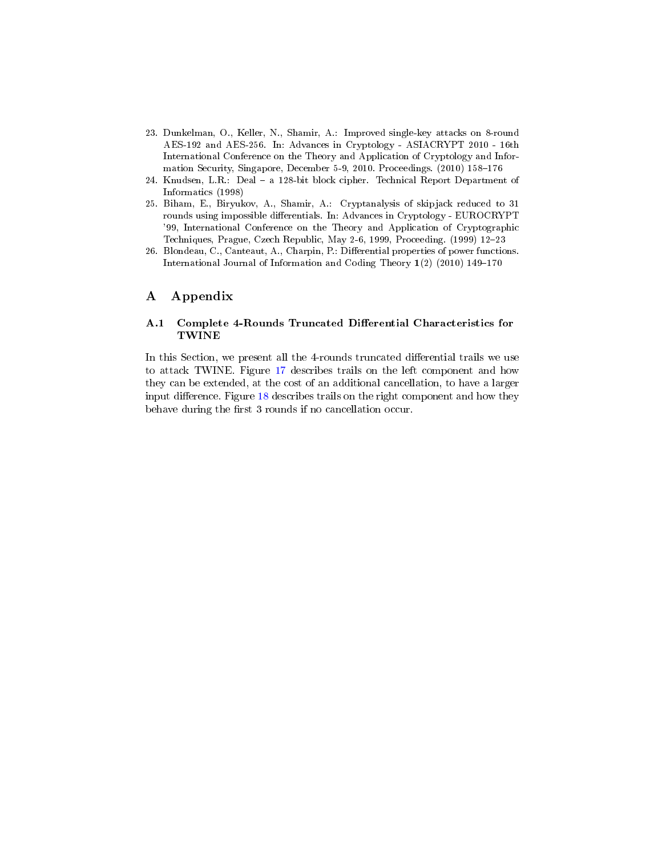- <span id="page-23-0"></span>23. Dunkelman, O., Keller, N., Shamir, A.: Improved single-key attacks on 8-round AES-192 and AES-256. In: Advances in Cryptology - ASIACRYPT 2010 - 16th International Conference on the Theory and Application of Cryptology and Information Security, Singapore, December 5-9, 2010. Proceedings. (2010) 158-176
- <span id="page-23-1"></span>24. Knudsen, L.R.: Deal - a 128-bit block cipher. Technical Report Department of Informatics (1998)
- <span id="page-23-2"></span>25. Biham, E., Biryukov, A., Shamir, A.: Cryptanalysis of skipjack reduced to 31 rounds using impossible differentials. In: Advances in Cryptology - EUROCRYPT '99, International Conference on the Theory and Application of Cryptographic Techniques, Prague, Czech Republic, May 2-6, 1999, Proceeding. (1999) 12–23
- <span id="page-23-3"></span>26. Blondeau, C., Canteaut, A., Charpin, P.: Differential properties of power functions. International Journal of Information and Coding Theory  $1(2)$  (2010) 149-170

# A Appendix

### A.1 Complete 4-Rounds Truncated Differential Characteristics for TWINE

In this Section, we present all the 4-rounds truncated differential trails we use to attack TWINE. Figure [17](#page-24-0) describes trails on the left component and how they can be extended, at the cost of an additional cancellation, to have a larger input difference. Figure [18](#page-25-0) describes trails on the right component and how they behave during the first 3 rounds if no cancellation occur.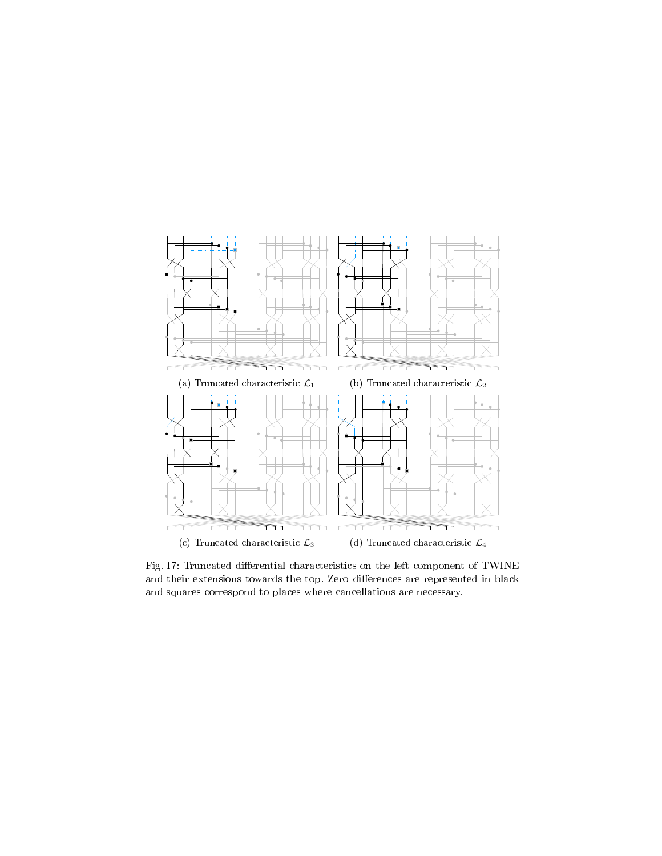<span id="page-24-0"></span>

Fig. 17: Truncated differential characteristics on the left component of TWINE and their extensions towards the top. Zero differences are represented in black and squares correspond to places where cancellations are necessary.